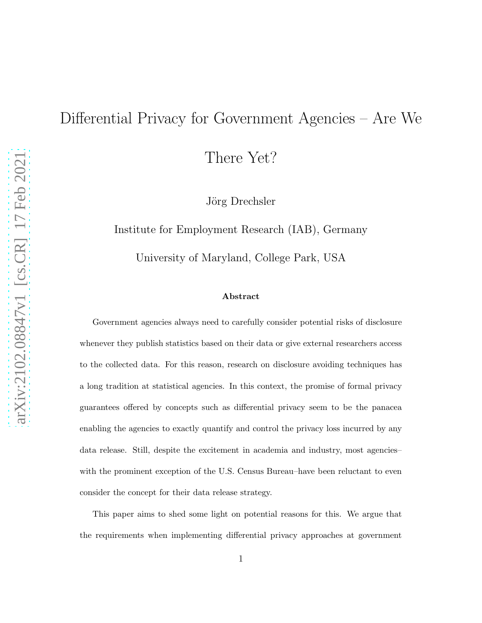# Differential Privacy for Government Agencies – Are We

There Yet?

Jörg Drechsler

Institute for Employment Research (IAB), Germany

University of Maryland, College Park, USA

#### Abstract

Government agencies always need to carefully consider potential risks of disclosure whenever they publish statistics based on their data or give external researchers access to the collected data. For this reason, research on disclosure avoiding techniques has a long tradition at statistical agencies. In this context, the promise of formal privacy guarantees offered by concepts such as differential privacy seem to be the panacea enabling the agencies to exactly quantify and control the privacy loss incurred by any data release. Still, despite the excitement in academia and industry, most agencies– with the prominent exception of the U.S. Census Bureau–have been reluctant to even consider the concept for their data release strategy.

This paper aims to shed some light on potential reasons for this. We argue that the requirements when implementing differential privacy approaches at government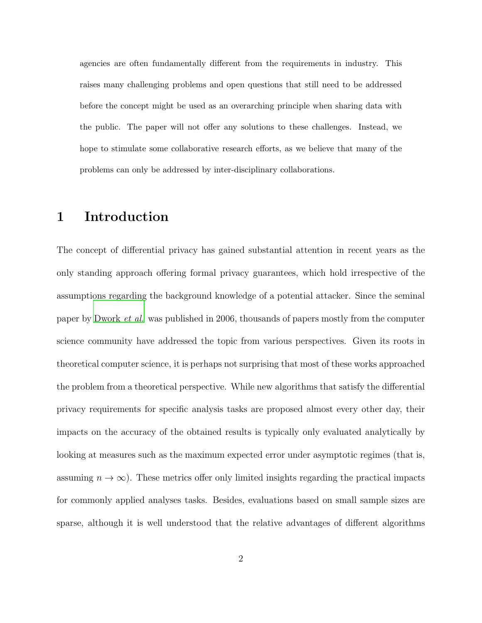agencies are often fundamentally different from the requirements in industry. This raises many challenging problems and open questions that still need to be addressed before the concept might be used as an overarching principle when sharing data with the public. The paper will not offer any solutions to these challenges. Instead, we hope to stimulate some collaborative research efforts, as we believe that many of the problems can only be addressed by inter-disciplinary collaborations.

# 1 Introduction

The concept of differential privacy has gained substantial attention in recent years as the only standing approach offering formal privacy guarantees, which hold irrespective of the assumptions regarding the background knowledge of a potential attacker. Since the seminal paper by [Dwork](#page-36-0) et al. was published in 2006, thousands of papers mostly from the computer science community have addressed the topic from various perspectives. Given its roots in theoretical computer science, it is perhaps not surprising that most of these works approached the problem from a theoretical perspective. While new algorithms that satisfy the differential privacy requirements for specific analysis tasks are proposed almost every other day, their impacts on the accuracy of the obtained results is typically only evaluated analytically by looking at measures such as the maximum expected error under asymptotic regimes (that is, assuming  $n \to \infty$ ). These metrics offer only limited insights regarding the practical impacts for commonly applied analyses tasks. Besides, evaluations based on small sample sizes are sparse, although it is well understood that the relative advantages of different algorithms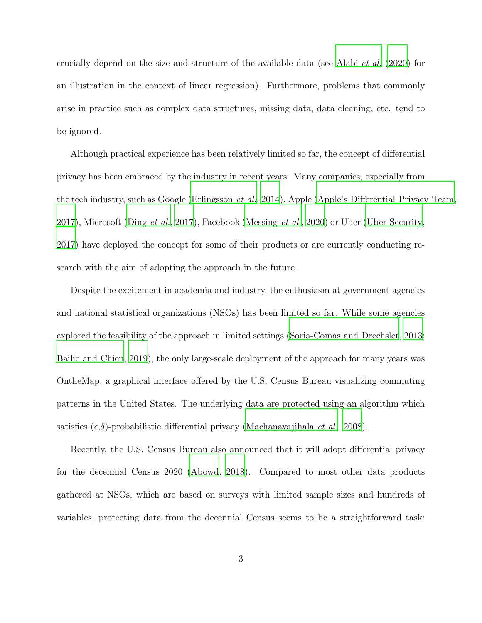crucially depend on the size and structure of the available data (see [Alabi](#page-35-0) et al. [\(2020](#page-35-0)) for an illustration in the context of linear regression). Furthermore, problems that commonly arise in practice such as complex data structures, missing data, data cleaning, etc. tend to be ignored.

Although practical experience has been relatively limited so far, the concept of differential privacy has been embraced by the industry in recent years. Many companies, especially from the tech industry, such as Google [\(Erlingsson](#page-37-0) et al., [2014](#page-37-0)), Apple [\(Apple's Differential Privacy Team](#page-35-1), [2017\)](#page-35-1), Microsoft (Ding *[et al.](#page-36-1)*, [2017\)](#page-36-1), Facebook [\(Messing](#page-38-0) *et al.*, [2020](#page-38-0)) or Uber [\(Uber Security,](#page-39-0) [2017\)](#page-39-0) have deployed the concept for some of their products or are currently conducting research with the aim of adopting the approach in the future.

Despite the excitement in academia and industry, the enthusiasm at government agencies and national statistical organizations (NSOs) has been limited so far. While some agencies explored the feasibility of the approach in limited settings [\(Soria-Comas and Drechsler](#page-39-1), [2013;](#page-39-1) [Bailie and Chien, 2019\)](#page-35-2), the only large-scale deployment of the approach for many years was OntheMap, a graphical interface offered by the U.S. Census Bureau visualizing commuting patterns in the United States. The underlying data are protected using an algorithm which satisfies  $(\epsilon, \delta)$ -probabilistic differential privacy [\(Machanavajjhala](#page-38-1) *et al.*, [2008\)](#page-38-1).

Recently, the U.S. Census Bureau also announced that it will adopt differential privacy for the decennial Census 2020 [\(Abowd](#page-34-0), [2018\)](#page-34-0). Compared to most other data products gathered at NSOs, which are based on surveys with limited sample sizes and hundreds of variables, protecting data from the decennial Census seems to be a straightforward task: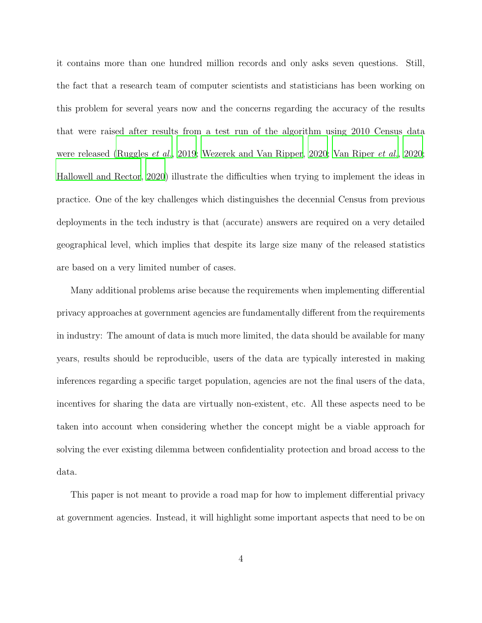it contains more than one hundred million records and only asks seven questions. Still, the fact that a research team of computer scientists and statisticians has been working on this problem for several years now and the concerns regarding the accuracy of the results that were raised after results from a test run of the algorithm using 2010 Census data were released [\(Ruggles](#page-38-2) et al., [2019](#page-38-2); [Wezerek and Van Ripper, 2020;](#page-40-0) [Van Riper](#page-39-2) et al., [2020;](#page-39-2) [Hallowell and Rector](#page-37-1), [2020\)](#page-37-1) illustrate the difficulties when trying to implement the ideas in practice. One of the key challenges which distinguishes the decennial Census from previous deployments in the tech industry is that (accurate) answers are required on a very detailed geographical level, which implies that despite its large size many of the released statistics are based on a very limited number of cases.

Many additional problems arise because the requirements when implementing differential privacy approaches at government agencies are fundamentally different from the requirements in industry: The amount of data is much more limited, the data should be available for many years, results should be reproducible, users of the data are typically interested in making inferences regarding a specific target population, agencies are not the final users of the data, incentives for sharing the data are virtually non-existent, etc. All these aspects need to be taken into account when considering whether the concept might be a viable approach for solving the ever existing dilemma between confidentiality protection and broad access to the data.

This paper is not meant to provide a road map for how to implement differential privacy at government agencies. Instead, it will highlight some important aspects that need to be on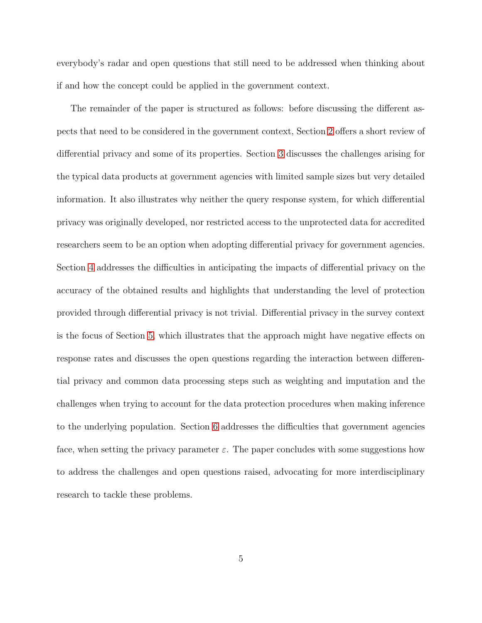everybody's radar and open questions that still need to be addressed when thinking about if and how the concept could be applied in the government context.

The remainder of the paper is structured as follows: before discussing the different aspects that need to be considered in the government context, Section [2](#page-5-0) offers a short review of differential privacy and some of its properties. Section [3](#page-8-0) discusses the challenges arising for the typical data products at government agencies with limited sample sizes but very detailed information. It also illustrates why neither the query response system, for which differential privacy was originally developed, nor restricted access to the unprotected data for accredited researchers seem to be an option when adopting differential privacy for government agencies. Section [4](#page-17-0) addresses the difficulties in anticipating the impacts of differential privacy on the accuracy of the obtained results and highlights that understanding the level of protection provided through differential privacy is not trivial. Differential privacy in the survey context is the focus of Section [5,](#page-22-0) which illustrates that the approach might have negative effects on response rates and discusses the open questions regarding the interaction between differential privacy and common data processing steps such as weighting and imputation and the challenges when trying to account for the data protection procedures when making inference to the underlying population. Section [6](#page-29-0) addresses the difficulties that government agencies face, when setting the privacy parameter  $\varepsilon$ . The paper concludes with some suggestions how to address the challenges and open questions raised, advocating for more interdisciplinary research to tackle these problems.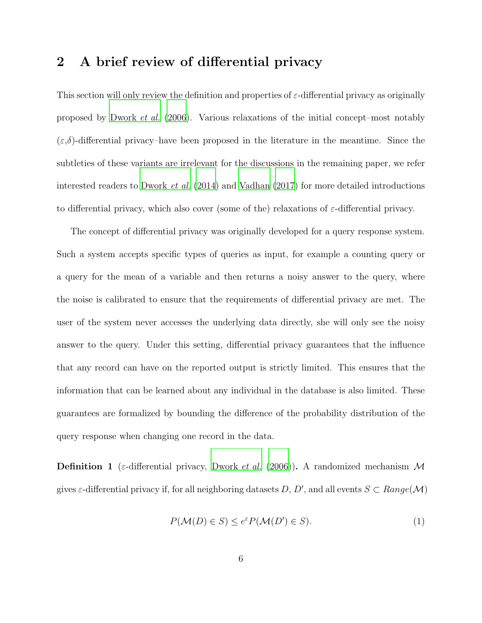# <span id="page-5-0"></span>2 A brief review of differential privacy

This section will only review the definition and properties of  $\varepsilon$ -differential privacy as originally proposed by [Dwork](#page-36-0) et al. [\(2006\)](#page-36-0). Various relaxations of the initial concept–most notably  $(\varepsilon, \delta)$ -differential privacy–have been proposed in the literature in the meantime. Since the subtleties of these variants are irrelevant for the discussions in the remaining paper, we refer interested readers to [Dwork](#page-36-2) *et al.*  $(2014)$  and Vadhan  $(2017)$  for more detailed introductions to differential privacy, which also cover (some of the) relaxations of  $\varepsilon$ -differential privacy.

The concept of differential privacy was originally developed for a query response system. Such a system accepts specific types of queries as input, for example a counting query or a query for the mean of a variable and then returns a noisy answer to the query, where the noise is calibrated to ensure that the requirements of differential privacy are met. The user of the system never accesses the underlying data directly, she will only see the noisy answer to the query. Under this setting, differential privacy guarantees that the influence that any record can have on the reported output is strictly limited. This ensures that the information that can be learned about any individual in the database is also limited. These guarantees are formalized by bounding the difference of the probability distribution of the query response when changing one record in the data.

**Definition 1** (*ε*-differential privacy, [Dwork](#page-36-0) *et al.* [\(2006](#page-36-0))). A randomized mechanism M gives  $\varepsilon$ -differential privacy if, for all neighboring datasets D, D', and all events  $S \subset Range(\mathcal{M})$ 

<span id="page-5-1"></span>
$$
P(\mathcal{M}(D) \in S) \le e^{\varepsilon} P(\mathcal{M}(D') \in S). \tag{1}
$$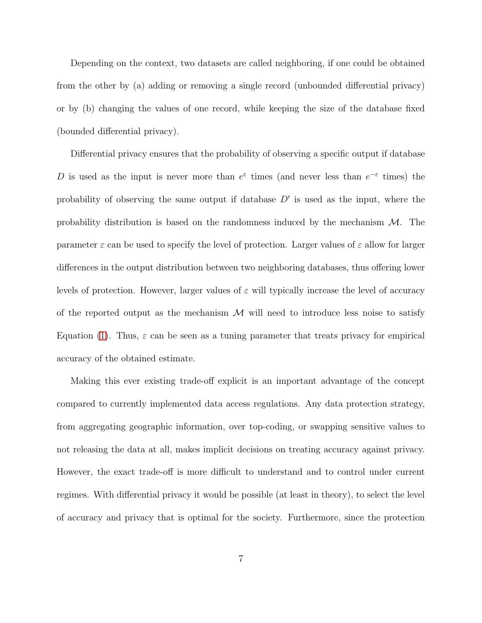Depending on the context, two datasets are called neighboring, if one could be obtained from the other by (a) adding or removing a single record (unbounded differential privacy) or by (b) changing the values of one record, while keeping the size of the database fixed (bounded differential privacy).

Differential privacy ensures that the probability of observing a specific output if database D is used as the input is never more than  $e^{\varepsilon}$  times (and never less than  $e^{-\varepsilon}$  times) the probability of observing the same output if database  $D'$  is used as the input, where the probability distribution is based on the randomness induced by the mechanism  $\mathcal{M}$ . The parameter  $\varepsilon$  can be used to specify the level of protection. Larger values of  $\varepsilon$  allow for larger differences in the output distribution between two neighboring databases, thus offering lower levels of protection. However, larger values of  $\varepsilon$  will typically increase the level of accuracy of the reported output as the mechanism  $\mathcal M$  will need to introduce less noise to satisfy Equation [\(1\)](#page-5-1). Thus,  $\varepsilon$  can be seen as a tuning parameter that treats privacy for empirical accuracy of the obtained estimate.

Making this ever existing trade-off explicit is an important advantage of the concept compared to currently implemented data access regulations. Any data protection strategy, from aggregating geographic information, over top-coding, or swapping sensitive values to not releasing the data at all, makes implicit decisions on treating accuracy against privacy. However, the exact trade-off is more difficult to understand and to control under current regimes. With differential privacy it would be possible (at least in theory), to select the level of accuracy and privacy that is optimal for the society. Furthermore, since the protection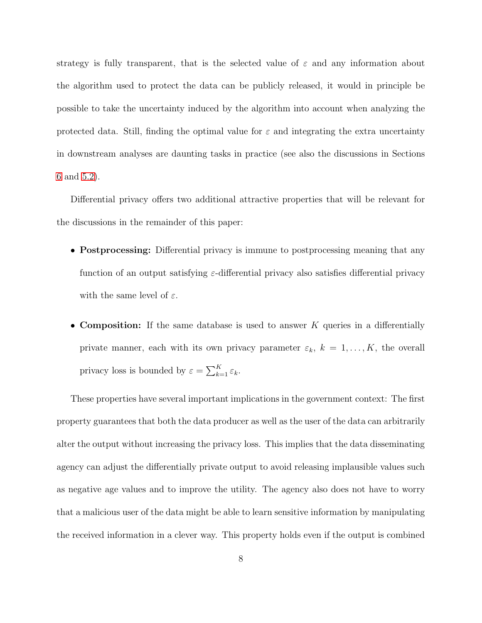strategy is fully transparent, that is the selected value of  $\varepsilon$  and any information about the algorithm used to protect the data can be publicly released, it would in principle be possible to take the uncertainty induced by the algorithm into account when analyzing the protected data. Still, finding the optimal value for  $\varepsilon$  and integrating the extra uncertainty in downstream analyses are daunting tasks in practice (see also the discussions in Sections [6](#page-29-0) and [5.2\)](#page-24-0).

Differential privacy offers two additional attractive properties that will be relevant for the discussions in the remainder of this paper:

- **Postprocessing:** Differential privacy is immune to postprocessing meaning that any function of an output satisfying  $\varepsilon$ -differential privacy also satisfies differential privacy with the same level of  $\varepsilon$ .
- Composition: If the same database is used to answer K queries in a differentially private manner, each with its own privacy parameter  $\varepsilon_k$ ,  $k = 1, ..., K$ , the overall privacy loss is bounded by  $\varepsilon = \sum_{k=1}^{K} \varepsilon_k$ .

These properties have several important implications in the government context: The first property guarantees that both the data producer as well as the user of the data can arbitrarily alter the output without increasing the privacy loss. This implies that the data disseminating agency can adjust the differentially private output to avoid releasing implausible values such as negative age values and to improve the utility. The agency also does not have to worry that a malicious user of the data might be able to learn sensitive information by manipulating the received information in a clever way. This property holds even if the output is combined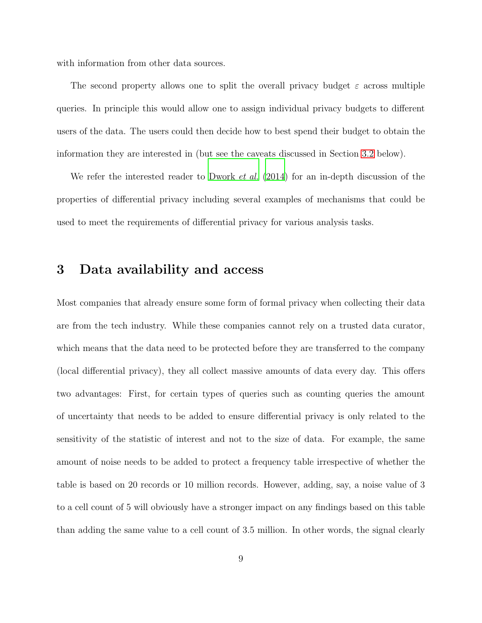with information from other data sources.

The second property allows one to split the overall privacy budget  $\varepsilon$  across multiple queries. In principle this would allow one to assign individual privacy budgets to different users of the data. The users could then decide how to best spend their budget to obtain the information they are interested in (but see the caveats discussed in Section [3.2](#page-10-0) below).

We refer the interested reader to [Dwork](#page-36-2) *et al.* [\(2014\)](#page-36-2) for an in-depth discussion of the properties of differential privacy including several examples of mechanisms that could be used to meet the requirements of differential privacy for various analysis tasks.

### <span id="page-8-0"></span>3 Data availability and access

Most companies that already ensure some form of formal privacy when collecting their data are from the tech industry. While these companies cannot rely on a trusted data curator, which means that the data need to be protected before they are transferred to the company (local differential privacy), they all collect massive amounts of data every day. This offers two advantages: First, for certain types of queries such as counting queries the amount of uncertainty that needs to be added to ensure differential privacy is only related to the sensitivity of the statistic of interest and not to the size of data. For example, the same amount of noise needs to be added to protect a frequency table irrespective of whether the table is based on 20 records or 10 million records. However, adding, say, a noise value of 3 to a cell count of 5 will obviously have a stronger impact on any findings based on this table than adding the same value to a cell count of 3.5 million. In other words, the signal clearly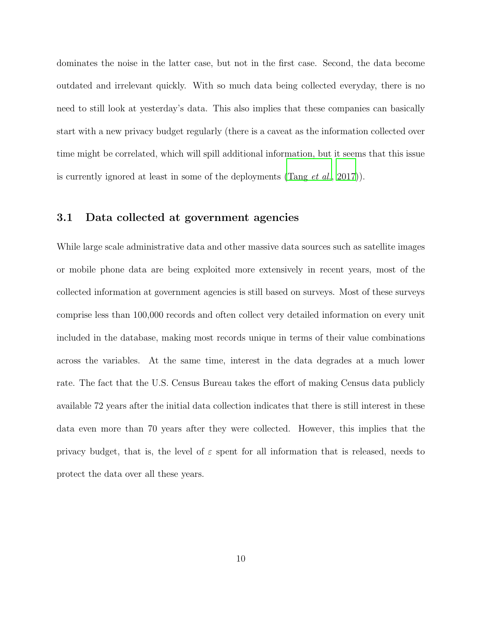dominates the noise in the latter case, but not in the first case. Second, the data become outdated and irrelevant quickly. With so much data being collected everyday, there is no need to still look at yesterday's data. This also implies that these companies can basically start with a new privacy budget regularly (there is a caveat as the information collected over time might be correlated, which will spill additional information, but it seems that this issue is currently ignored at least in some of the deployments [\(Tang](#page-39-4) et al., [2017\)](#page-39-4)).

#### 3.1 Data collected at government agencies

While large scale administrative data and other massive data sources such as satellite images or mobile phone data are being exploited more extensively in recent years, most of the collected information at government agencies is still based on surveys. Most of these surveys comprise less than 100,000 records and often collect very detailed information on every unit included in the database, making most records unique in terms of their value combinations across the variables. At the same time, interest in the data degrades at a much lower rate. The fact that the U.S. Census Bureau takes the effort of making Census data publicly available 72 years after the initial data collection indicates that there is still interest in these data even more than 70 years after they were collected. However, this implies that the privacy budget, that is, the level of  $\varepsilon$  spent for all information that is released, needs to protect the data over all these years.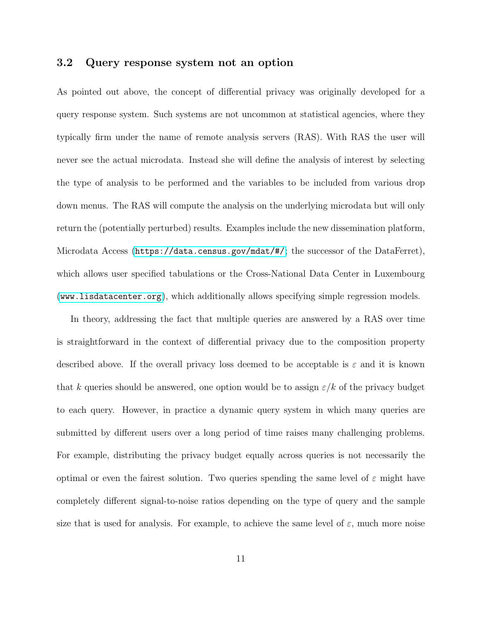#### <span id="page-10-0"></span>3.2 Query response system not an option

As pointed out above, the concept of differential privacy was originally developed for a query response system. Such systems are not uncommon at statistical agencies, where they typically firm under the name of remote analysis servers (RAS). With RAS the user will never see the actual microdata. Instead she will define the analysis of interest by selecting the type of analysis to be performed and the variables to be included from various drop down menus. The RAS will compute the analysis on the underlying microdata but will only return the (potentially perturbed) results. Examples include the new dissemination platform, Microdata Access (<https://data.census.gov/mdat/#/>; the successor of the DataFerret), which allows user specified tabulations or the Cross-National Data Center in Luxembourg (<www.lisdatacenter.org>), which additionally allows specifying simple regression models.

In theory, addressing the fact that multiple queries are answered by a RAS over time is straightforward in the context of differential privacy due to the composition property described above. If the overall privacy loss deemed to be acceptable is  $\varepsilon$  and it is known that k queries should be answered, one option would be to assign  $\varepsilon/k$  of the privacy budget to each query. However, in practice a dynamic query system in which many queries are submitted by different users over a long period of time raises many challenging problems. For example, distributing the privacy budget equally across queries is not necessarily the optimal or even the fairest solution. Two queries spending the same level of  $\varepsilon$  might have completely different signal-to-noise ratios depending on the type of query and the sample size that is used for analysis. For example, to achieve the same level of  $\varepsilon$ , much more noise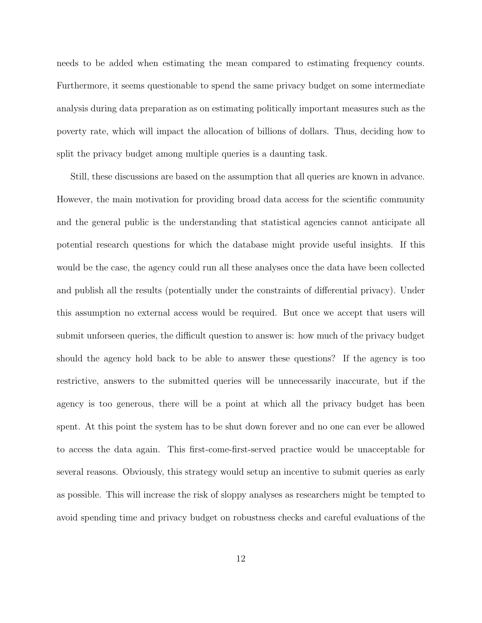needs to be added when estimating the mean compared to estimating frequency counts. Furthermore, it seems questionable to spend the same privacy budget on some intermediate analysis during data preparation as on estimating politically important measures such as the poverty rate, which will impact the allocation of billions of dollars. Thus, deciding how to split the privacy budget among multiple queries is a daunting task.

Still, these discussions are based on the assumption that all queries are known in advance. However, the main motivation for providing broad data access for the scientific community and the general public is the understanding that statistical agencies cannot anticipate all potential research questions for which the database might provide useful insights. If this would be the case, the agency could run all these analyses once the data have been collected and publish all the results (potentially under the constraints of differential privacy). Under this assumption no external access would be required. But once we accept that users will submit unforseen queries, the difficult question to answer is: how much of the privacy budget should the agency hold back to be able to answer these questions? If the agency is too restrictive, answers to the submitted queries will be unnecessarily inaccurate, but if the agency is too generous, there will be a point at which all the privacy budget has been spent. At this point the system has to be shut down forever and no one can ever be allowed to access the data again. This first-come-first-served practice would be unacceptable for several reasons. Obviously, this strategy would setup an incentive to submit queries as early as possible. This will increase the risk of sloppy analyses as researchers might be tempted to avoid spending time and privacy budget on robustness checks and careful evaluations of the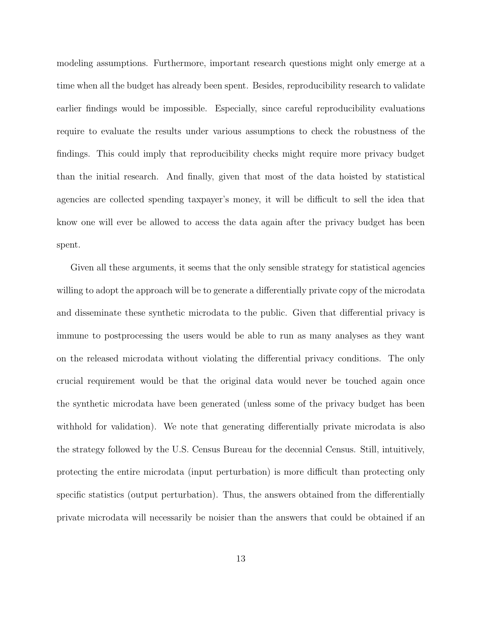modeling assumptions. Furthermore, important research questions might only emerge at a time when all the budget has already been spent. Besides, reproducibility research to validate earlier findings would be impossible. Especially, since careful reproducibility evaluations require to evaluate the results under various assumptions to check the robustness of the findings. This could imply that reproducibility checks might require more privacy budget than the initial research. And finally, given that most of the data hoisted by statistical agencies are collected spending taxpayer's money, it will be difficult to sell the idea that know one will ever be allowed to access the data again after the privacy budget has been spent.

Given all these arguments, it seems that the only sensible strategy for statistical agencies willing to adopt the approach will be to generate a differentially private copy of the microdata and disseminate these synthetic microdata to the public. Given that differential privacy is immune to postprocessing the users would be able to run as many analyses as they want on the released microdata without violating the differential privacy conditions. The only crucial requirement would be that the original data would never be touched again once the synthetic microdata have been generated (unless some of the privacy budget has been withhold for validation). We note that generating differentially private microdata is also the strategy followed by the U.S. Census Bureau for the decennial Census. Still, intuitively, protecting the entire microdata (input perturbation) is more difficult than protecting only specific statistics (output perturbation). Thus, the answers obtained from the differentially private microdata will necessarily be noisier than the answers that could be obtained if an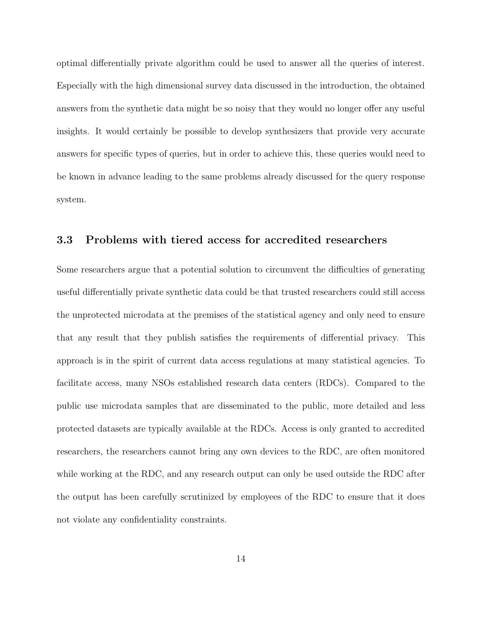optimal differentially private algorithm could be used to answer all the queries of interest. Especially with the high dimensional survey data discussed in the introduction, the obtained answers from the synthetic data might be so noisy that they would no longer offer any useful insights. It would certainly be possible to develop synthesizers that provide very accurate answers for specific types of queries, but in order to achieve this, these queries would need to be known in advance leading to the same problems already discussed for the query response system.

#### 3.3 Problems with tiered access for accredited researchers

Some researchers argue that a potential solution to circumvent the difficulties of generating useful differentially private synthetic data could be that trusted researchers could still access the unprotected microdata at the premises of the statistical agency and only need to ensure that any result that they publish satisfies the requirements of differential privacy. This approach is in the spirit of current data access regulations at many statistical agencies. To facilitate access, many NSOs established research data centers (RDCs). Compared to the public use microdata samples that are disseminated to the public, more detailed and less protected datasets are typically available at the RDCs. Access is only granted to accredited researchers, the researchers cannot bring any own devices to the RDC, are often monitored while working at the RDC, and any research output can only be used outside the RDC after the output has been carefully scrutinized by employees of the RDC to ensure that it does not violate any confidentiality constraints.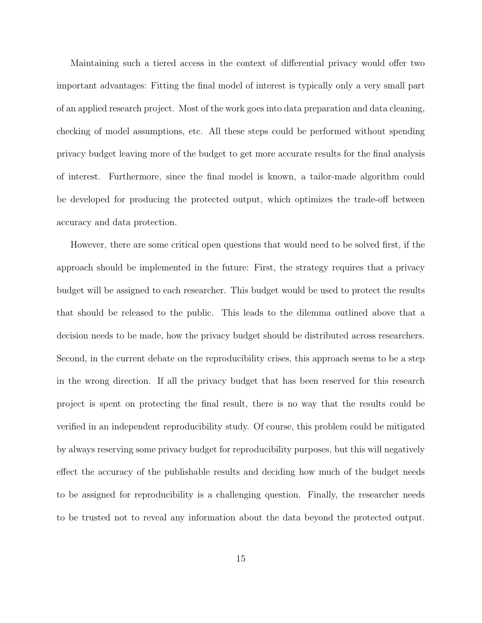Maintaining such a tiered access in the context of differential privacy would offer two important advantages: Fitting the final model of interest is typically only a very small part of an applied research project. Most of the work goes into data preparation and data cleaning, checking of model assumptions, etc. All these steps could be performed without spending privacy budget leaving more of the budget to get more accurate results for the final analysis of interest. Furthermore, since the final model is known, a tailor-made algorithm could be developed for producing the protected output, which optimizes the trade-off between accuracy and data protection.

However, there are some critical open questions that would need to be solved first, if the approach should be implemented in the future: First, the strategy requires that a privacy budget will be assigned to each researcher. This budget would be used to protect the results that should be released to the public. This leads to the dilemma outlined above that a decision needs to be made, how the privacy budget should be distributed across researchers. Second, in the current debate on the reproducibility crises, this approach seems to be a step in the wrong direction. If all the privacy budget that has been reserved for this research project is spent on protecting the final result, there is no way that the results could be verified in an independent reproducibility study. Of course, this problem could be mitigated by always reserving some privacy budget for reproducibility purposes, but this will negatively effect the accuracy of the publishable results and deciding how much of the budget needs to be assigned for reproducibility is a challenging question. Finally, the researcher needs to be trusted not to reveal any information about the data beyond the protected output.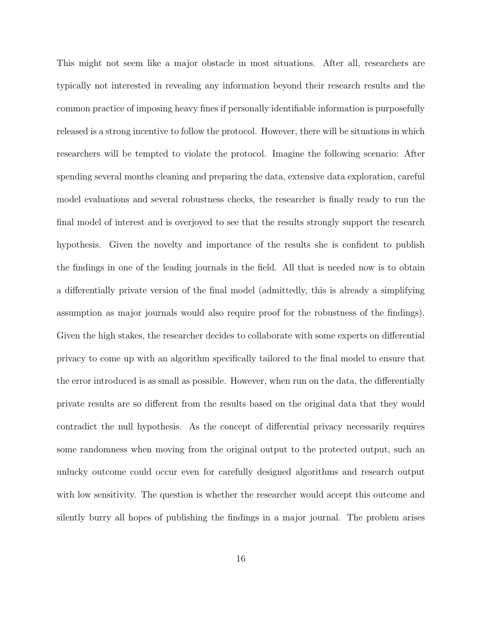This might not seem like a major obstacle in most situations. After all, researchers are typically not interested in revealing any information beyond their research results and the common practice of imposing heavy fines if personally identifiable information is purposefully released is a strong incentive to follow the protocol. However, there will be situations in which researchers will be tempted to violate the protocol. Imagine the following scenario: After spending several months cleaning and preparing the data, extensive data exploration, careful model evaluations and several robustness checks, the researcher is finally ready to run the final model of interest and is overjoyed to see that the results strongly support the research hypothesis. Given the novelty and importance of the results she is confident to publish the findings in one of the leading journals in the field. All that is needed now is to obtain a differentially private version of the final model (admittedly, this is already a simplifying assumption as major journals would also require proof for the robustness of the findings). Given the high stakes, the researcher decides to collaborate with some experts on differential privacy to come up with an algorithm specifically tailored to the final model to ensure that the error introduced is as small as possible. However, when run on the data, the differentially private results are so different from the results based on the original data that they would contradict the null hypothesis. As the concept of differential privacy necessarily requires some randomness when moving from the original output to the protected output, such an unlucky outcome could occur even for carefully designed algorithms and research output with low sensitivity. The question is whether the researcher would accept this outcome and silently burry all hopes of publishing the findings in a major journal. The problem arises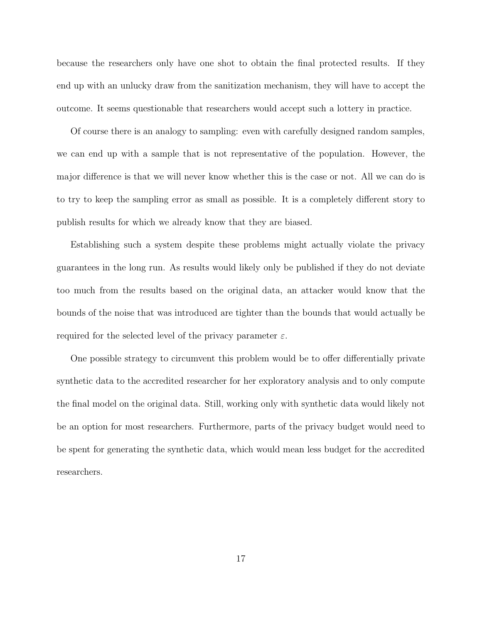because the researchers only have one shot to obtain the final protected results. If they end up with an unlucky draw from the sanitization mechanism, they will have to accept the outcome. It seems questionable that researchers would accept such a lottery in practice.

Of course there is an analogy to sampling: even with carefully designed random samples, we can end up with a sample that is not representative of the population. However, the major difference is that we will never know whether this is the case or not. All we can do is to try to keep the sampling error as small as possible. It is a completely different story to publish results for which we already know that they are biased.

Establishing such a system despite these problems might actually violate the privacy guarantees in the long run. As results would likely only be published if they do not deviate too much from the results based on the original data, an attacker would know that the bounds of the noise that was introduced are tighter than the bounds that would actually be required for the selected level of the privacy parameter  $\varepsilon$ .

One possible strategy to circumvent this problem would be to offer differentially private synthetic data to the accredited researcher for her exploratory analysis and to only compute the final model on the original data. Still, working only with synthetic data would likely not be an option for most researchers. Furthermore, parts of the privacy budget would need to be spent for generating the synthetic data, which would mean less budget for the accredited researchers.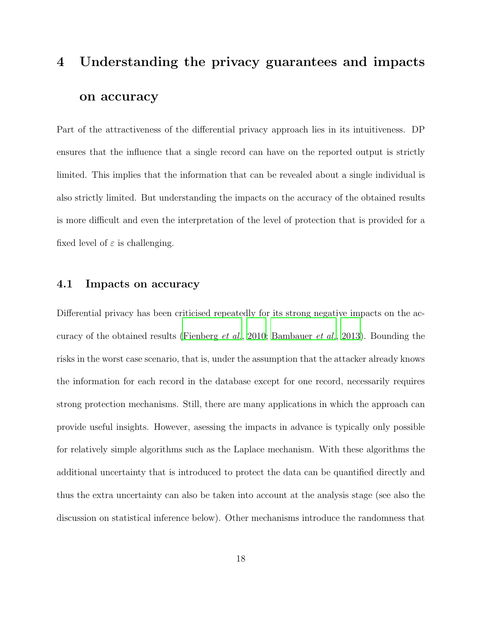# <span id="page-17-0"></span>4 Understanding the privacy guarantees and impacts on accuracy

Part of the attractiveness of the differential privacy approach lies in its intuitiveness. DP ensures that the influence that a single record can have on the reported output is strictly limited. This implies that the information that can be revealed about a single individual is also strictly limited. But understanding the impacts on the accuracy of the obtained results is more difficult and even the interpretation of the level of protection that is provided for a fixed level of  $\varepsilon$  is challenging.

#### 4.1 Impacts on accuracy

Differential privacy has been criticised repeatedly for its strong negative impacts on the accuracy of the obtained results [\(Fienberg](#page-37-2) et al., [2010;](#page-37-2) [Bambauer](#page-35-3) et al., [2013\)](#page-35-3). Bounding the risks in the worst case scenario, that is, under the assumption that the attacker already knows the information for each record in the database except for one record, necessarily requires strong protection mechanisms. Still, there are many applications in which the approach can provide useful insights. However, asessing the impacts in advance is typically only possible for relatively simple algorithms such as the Laplace mechanism. With these algorithms the additional uncertainty that is introduced to protect the data can be quantified directly and thus the extra uncertainty can also be taken into account at the analysis stage (see also the discussion on statistical inference below). Other mechanisms introduce the randomness that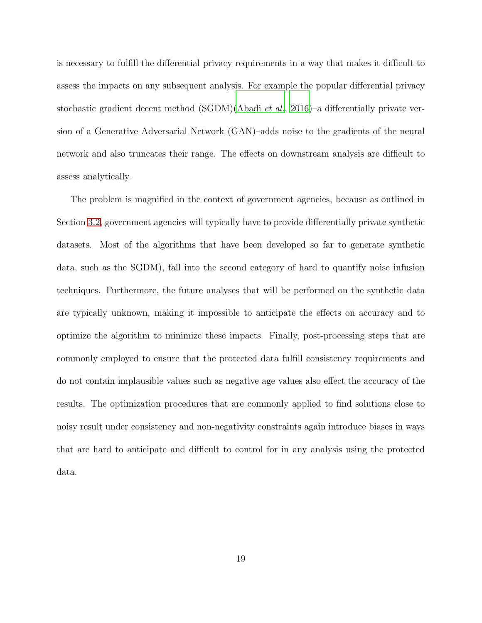is necessary to fulfill the differential privacy requirements in a way that makes it difficult to assess the impacts on any subsequent analysis. For example the popular differential privacy stochastic gradient decent method (SGDM)[\(Abadi](#page-34-1) et al., [2016\)](#page-34-1)–a differentially private version of a Generative Adversarial Network (GAN)–adds noise to the gradients of the neural network and also truncates their range. The effects on downstream analysis are difficult to assess analytically.

The problem is magnified in the context of government agencies, because as outlined in Section [3.2,](#page-10-0) government agencies will typically have to provide differentially private synthetic datasets. Most of the algorithms that have been developed so far to generate synthetic data, such as the SGDM), fall into the second category of hard to quantify noise infusion techniques. Furthermore, the future analyses that will be performed on the synthetic data are typically unknown, making it impossible to anticipate the effects on accuracy and to optimize the algorithm to minimize these impacts. Finally, post-processing steps that are commonly employed to ensure that the protected data fulfill consistency requirements and do not contain implausible values such as negative age values also effect the accuracy of the results. The optimization procedures that are commonly applied to find solutions close to noisy result under consistency and non-negativity constraints again introduce biases in ways that are hard to anticipate and difficult to control for in any analysis using the protected data.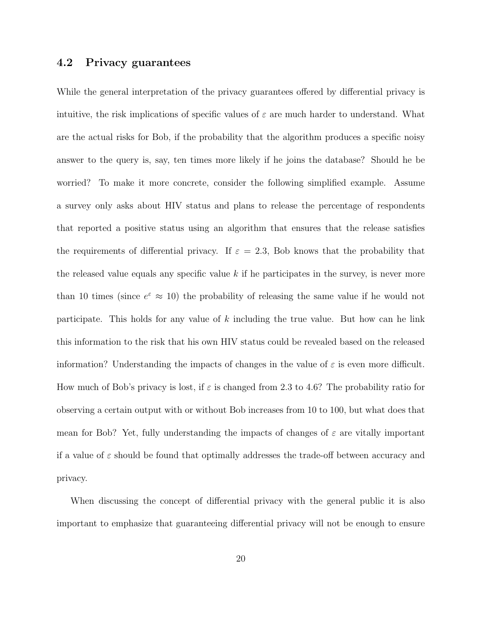#### 4.2 Privacy guarantees

While the general interpretation of the privacy guarantees offered by differential privacy is intuitive, the risk implications of specific values of  $\varepsilon$  are much harder to understand. What are the actual risks for Bob, if the probability that the algorithm produces a specific noisy answer to the query is, say, ten times more likely if he joins the database? Should he be worried? To make it more concrete, consider the following simplified example. Assume a survey only asks about HIV status and plans to release the percentage of respondents that reported a positive status using an algorithm that ensures that the release satisfies the requirements of differential privacy. If  $\varepsilon = 2.3$ , Bob knows that the probability that the released value equals any specific value  $k$  if he participates in the survey, is never more than 10 times (since  $e^{\epsilon} \approx 10$ ) the probability of releasing the same value if he would not participate. This holds for any value of k including the true value. But how can he link this information to the risk that his own HIV status could be revealed based on the released information? Understanding the impacts of changes in the value of  $\varepsilon$  is even more difficult. How much of Bob's privacy is lost, if  $\varepsilon$  is changed from 2.3 to 4.6? The probability ratio for observing a certain output with or without Bob increases from 10 to 100, but what does that mean for Bob? Yet, fully understanding the impacts of changes of  $\varepsilon$  are vitally important if a value of  $\varepsilon$  should be found that optimally addresses the trade-off between accuracy and privacy.

When discussing the concept of differential privacy with the general public it is also important to emphasize that guaranteeing differential privacy will not be enough to ensure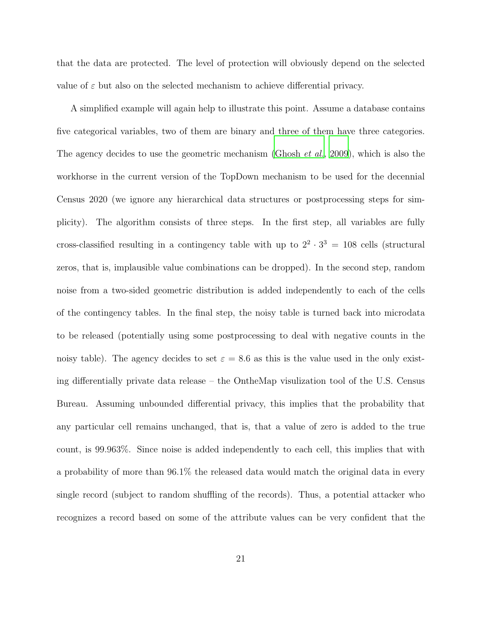that the data are protected. The level of protection will obviously depend on the selected value of  $\varepsilon$  but also on the selected mechanism to achieve differential privacy.

A simplified example will again help to illustrate this point. Assume a database contains five categorical variables, two of them are binary and three of them have three categories. The agency decides to use the geometric mechanism [\(Ghosh](#page-37-3) *et al.*, [2009\)](#page-37-3), which is also the workhorse in the current version of the TopDown mechanism to be used for the decennial Census 2020 (we ignore any hierarchical data structures or postprocessing steps for simplicity). The algorithm consists of three steps. In the first step, all variables are fully cross-classified resulting in a contingency table with up to  $2^2 \cdot 3^3 = 108$  cells (structural zeros, that is, implausible value combinations can be dropped). In the second step, random noise from a two-sided geometric distribution is added independently to each of the cells of the contingency tables. In the final step, the noisy table is turned back into microdata to be released (potentially using some postprocessing to deal with negative counts in the noisy table). The agency decides to set  $\varepsilon = 8.6$  as this is the value used in the only existing differentially private data release – the OntheMap visulization tool of the U.S. Census Bureau. Assuming unbounded differential privacy, this implies that the probability that any particular cell remains unchanged, that is, that a value of zero is added to the true count, is 99.963%. Since noise is added independently to each cell, this implies that with a probability of more than 96.1% the released data would match the original data in every single record (subject to random shuffling of the records). Thus, a potential attacker who recognizes a record based on some of the attribute values can be very confident that the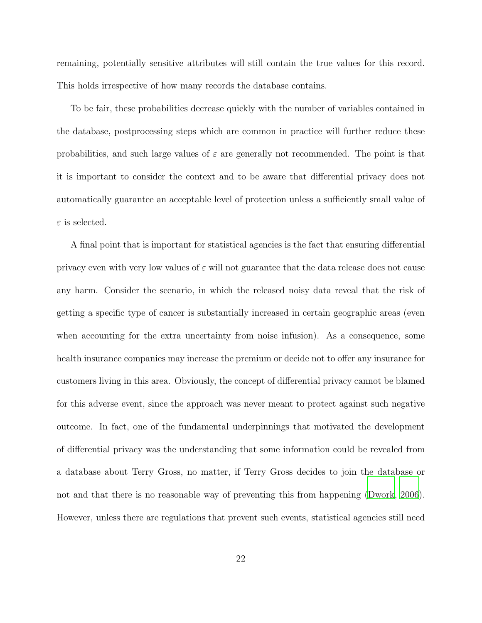remaining, potentially sensitive attributes will still contain the true values for this record. This holds irrespective of how many records the database contains.

To be fair, these probabilities decrease quickly with the number of variables contained in the database, postprocessing steps which are common in practice will further reduce these probabilities, and such large values of  $\varepsilon$  are generally not recommended. The point is that it is important to consider the context and to be aware that differential privacy does not automatically guarantee an acceptable level of protection unless a sufficiently small value of  $\varepsilon$  is selected.

A final point that is important for statistical agencies is the fact that ensuring differential privacy even with very low values of  $\varepsilon$  will not guarantee that the data release does not cause any harm. Consider the scenario, in which the released noisy data reveal that the risk of getting a specific type of cancer is substantially increased in certain geographic areas (even when accounting for the extra uncertainty from noise infusion). As a consequence, some health insurance companies may increase the premium or decide not to offer any insurance for customers living in this area. Obviously, the concept of differential privacy cannot be blamed for this adverse event, since the approach was never meant to protect against such negative outcome. In fact, one of the fundamental underpinnings that motivated the development of differential privacy was the understanding that some information could be revealed from a database about Terry Gross, no matter, if Terry Gross decides to join the database or not and that there is no reasonable way of preventing this from happening [\(Dwork](#page-36-3), [2006](#page-36-3)). However, unless there are regulations that prevent such events, statistical agencies still need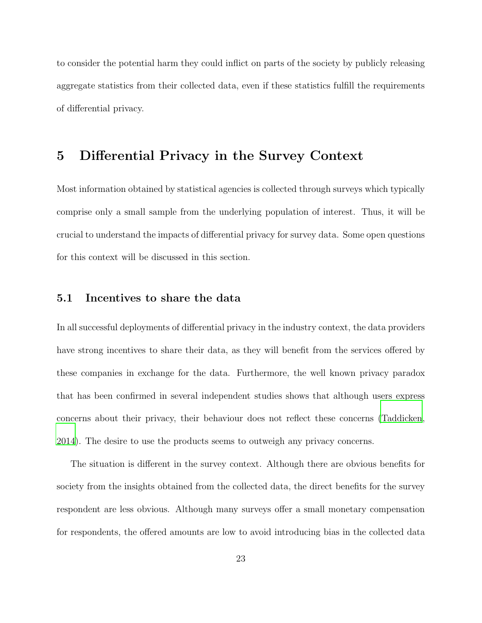to consider the potential harm they could inflict on parts of the society by publicly releasing aggregate statistics from their collected data, even if these statistics fulfill the requirements of differential privacy.

# <span id="page-22-0"></span>5 Differential Privacy in the Survey Context

Most information obtained by statistical agencies is collected through surveys which typically comprise only a small sample from the underlying population of interest. Thus, it will be crucial to understand the impacts of differential privacy for survey data. Some open questions for this context will be discussed in this section.

#### 5.1 Incentives to share the data

In all successful deployments of differential privacy in the industry context, the data providers have strong incentives to share their data, as they will benefit from the services offered by these companies in exchange for the data. Furthermore, the well known privacy paradox that has been confirmed in several independent studies shows that although users express concerns about their privacy, their behaviour does not reflect these concerns [\(Taddicken](#page-39-5), [2014\)](#page-39-5). The desire to use the products seems to outweigh any privacy concerns.

The situation is different in the survey context. Although there are obvious benefits for society from the insights obtained from the collected data, the direct benefits for the survey respondent are less obvious. Although many surveys offer a small monetary compensation for respondents, the offered amounts are low to avoid introducing bias in the collected data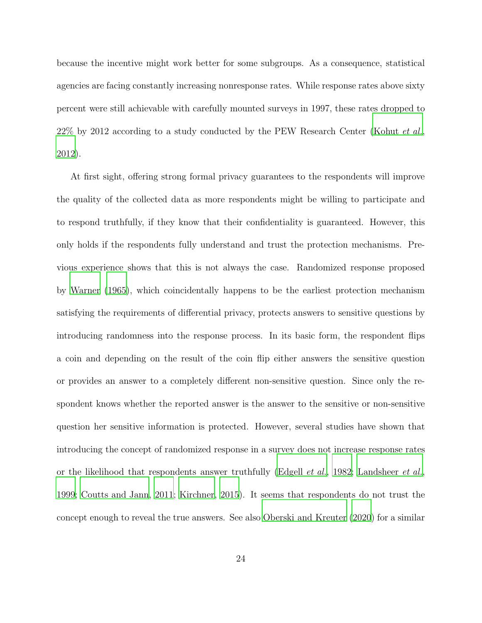because the incentive might work better for some subgroups. As a consequence, statistical agencies are facing constantly increasing nonresponse rates. While response rates above sixty percent were still achievable with carefully mounted surveys in 1997, these rates dropped to  $22\%$  by 2012 according to a study conducted by the PEW Research Center [\(Kohut](#page-37-4) *et al.*, [2012\)](#page-37-4).

At first sight, offering strong formal privacy guarantees to the respondents will improve the quality of the collected data as more respondents might be willing to participate and to respond truthfully, if they know that their confidentiality is guaranteed. However, this only holds if the respondents fully understand and trust the protection mechanisms. Previous experience shows that this is not always the case. Randomized response proposed by [Warner \(1965](#page-39-6)), which coincidentally happens to be the earliest protection mechanism satisfying the requirements of differential privacy, protects answers to sensitive questions by introducing randomness into the response process. In its basic form, the respondent flips a coin and depending on the result of the coin flip either answers the sensitive question or provides an answer to a completely different non-sensitive question. Since only the respondent knows whether the reported answer is the answer to the sensitive or non-sensitive question her sensitive information is protected. However, several studies have shown that introducing the concept of randomized response in a survey does not increase response rates or the likelihood that respondents answer truthfully [\(Edgell](#page-37-5) *et al.*, [1982;](#page-37-5) [Landsheer](#page-38-3) *et al.*, [1999;](#page-38-3) [Coutts and Jann](#page-36-4), [2011](#page-36-4); [Kirchner](#page-37-6), [2015\)](#page-37-6). It seems that respondents do not trust the concept enough to reveal the true answers. See also [Oberski and Kreuter \(2020\)](#page-38-4) for a similar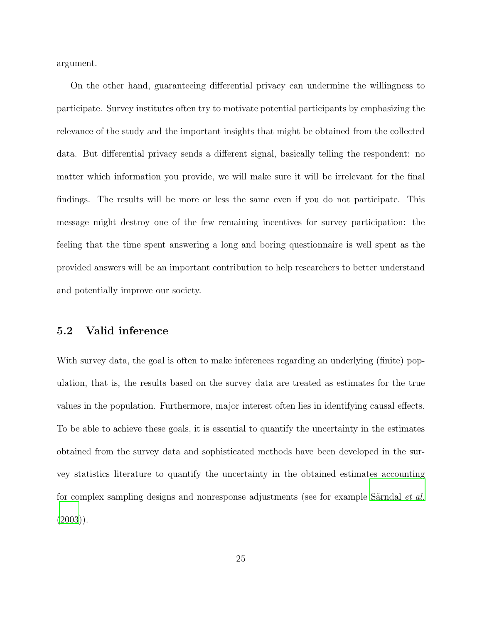argument.

On the other hand, guaranteeing differential privacy can undermine the willingness to participate. Survey institutes often try to motivate potential participants by emphasizing the relevance of the study and the important insights that might be obtained from the collected data. But differential privacy sends a different signal, basically telling the respondent: no matter which information you provide, we will make sure it will be irrelevant for the final findings. The results will be more or less the same even if you do not participate. This message might destroy one of the few remaining incentives for survey participation: the feeling that the time spent answering a long and boring questionnaire is well spent as the provided answers will be an important contribution to help researchers to better understand and potentially improve our society.

#### <span id="page-24-0"></span>5.2 Valid inference

With survey data, the goal is often to make inferences regarding an underlying (finite) population, that is, the results based on the survey data are treated as estimates for the true values in the population. Furthermore, major interest often lies in identifying causal effects. To be able to achieve these goals, it is essential to quantify the uncertainty in the estimates obtained from the survey data and sophisticated methods have been developed in the survey statistics literature to quantify the uncertainty in the obtained estimates accounting for complex sampling designs and nonresponse adjustments (see for example Särndal  $et$   $al$ .  $(2003)$ ).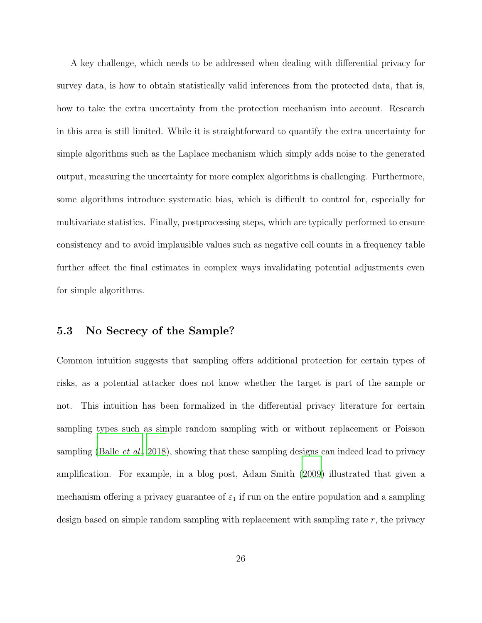A key challenge, which needs to be addressed when dealing with differential privacy for survey data, is how to obtain statistically valid inferences from the protected data, that is, how to take the extra uncertainty from the protection mechanism into account. Research in this area is still limited. While it is straightforward to quantify the extra uncertainty for simple algorithms such as the Laplace mechanism which simply adds noise to the generated output, measuring the uncertainty for more complex algorithms is challenging. Furthermore, some algorithms introduce systematic bias, which is difficult to control for, especially for multivariate statistics. Finally, postprocessing steps, which are typically performed to ensure consistency and to avoid implausible values such as negative cell counts in a frequency table further affect the final estimates in complex ways invalidating potential adjustments even for simple algorithms.

#### 5.3 No Secrecy of the Sample?

Common intuition suggests that sampling offers additional protection for certain types of risks, as a potential attacker does not know whether the target is part of the sample or not. This intuition has been formalized in the differential privacy literature for certain sampling types such as simple random sampling with or without replacement or Poisson sampling [\(Balle](#page-35-4) *et al.*, [2018\)](#page-35-4), showing that these sampling designs can indeed lead to privacy amplification. For example, in a blog post, Adam Smith [\(2009](#page-39-8)) illustrated that given a mechanism offering a privacy guarantee of  $\varepsilon_1$  if run on the entire population and a sampling design based on simple random sampling with replacement with sampling rate  $r$ , the privacy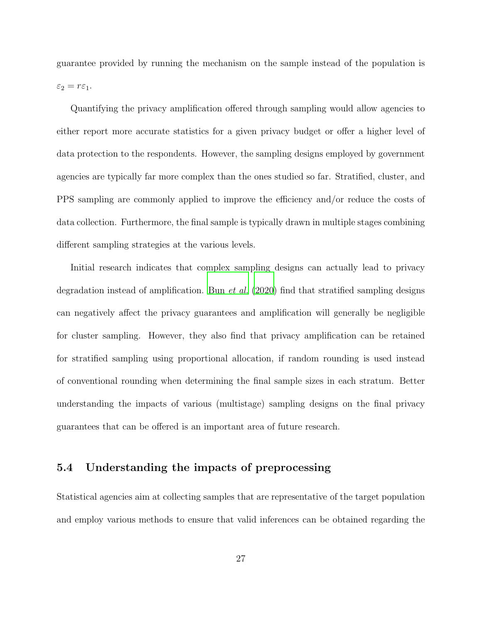guarantee provided by running the mechanism on the sample instead of the population is  $\varepsilon_2 = r \varepsilon_1.$ 

Quantifying the privacy amplification offered through sampling would allow agencies to either report more accurate statistics for a given privacy budget or offer a higher level of data protection to the respondents. However, the sampling designs employed by government agencies are typically far more complex than the ones studied so far. Stratified, cluster, and PPS sampling are commonly applied to improve the efficiency and/or reduce the costs of data collection. Furthermore, the final sample is typically drawn in multiple stages combining different sampling strategies at the various levels.

Initial research indicates that complex sampling designs can actually lead to privacy degradation instead of amplification. Bun *[et al.](#page-36-5)* [\(2020\)](#page-36-5) find that stratified sampling designs can negatively affect the privacy guarantees and amplification will generally be negligible for cluster sampling. However, they also find that privacy amplification can be retained for stratified sampling using proportional allocation, if random rounding is used instead of conventional rounding when determining the final sample sizes in each stratum. Better understanding the impacts of various (multistage) sampling designs on the final privacy guarantees that can be offered is an important area of future research.

#### 5.4 Understanding the impacts of preprocessing

Statistical agencies aim at collecting samples that are representative of the target population and employ various methods to ensure that valid inferences can be obtained regarding the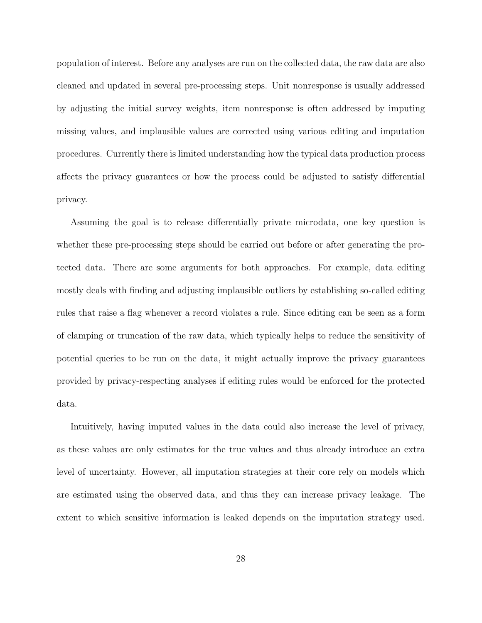population of interest. Before any analyses are run on the collected data, the raw data are also cleaned and updated in several pre-processing steps. Unit nonresponse is usually addressed by adjusting the initial survey weights, item nonresponse is often addressed by imputing missing values, and implausible values are corrected using various editing and imputation procedures. Currently there is limited understanding how the typical data production process affects the privacy guarantees or how the process could be adjusted to satisfy differential privacy.

Assuming the goal is to release differentially private microdata, one key question is whether these pre-processing steps should be carried out before or after generating the protected data. There are some arguments for both approaches. For example, data editing mostly deals with finding and adjusting implausible outliers by establishing so-called editing rules that raise a flag whenever a record violates a rule. Since editing can be seen as a form of clamping or truncation of the raw data, which typically helps to reduce the sensitivity of potential queries to be run on the data, it might actually improve the privacy guarantees provided by privacy-respecting analyses if editing rules would be enforced for the protected data.

Intuitively, having imputed values in the data could also increase the level of privacy, as these values are only estimates for the true values and thus already introduce an extra level of uncertainty. However, all imputation strategies at their core rely on models which are estimated using the observed data, and thus they can increase privacy leakage. The extent to which sensitive information is leaked depends on the imputation strategy used.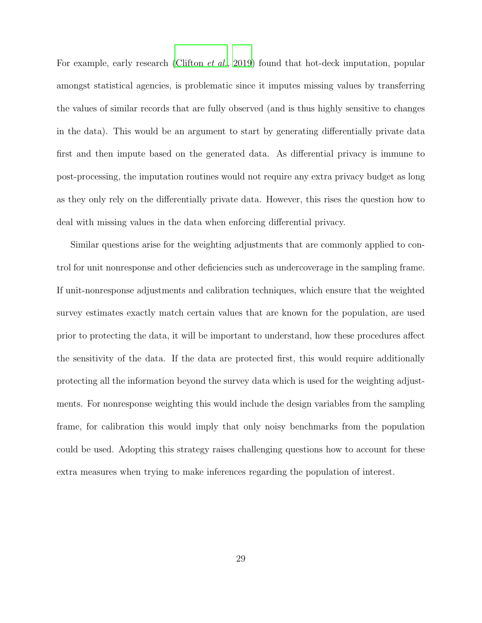For example, early research [\(Clifton](#page-36-6) *et al.*, [2019\)](#page-36-6) found that hot-deck imputation, popular amongst statistical agencies, is problematic since it imputes missing values by transferring the values of similar records that are fully observed (and is thus highly sensitive to changes in the data). This would be an argument to start by generating differentially private data first and then impute based on the generated data. As differential privacy is immune to post-processing, the imputation routines would not require any extra privacy budget as long as they only rely on the differentially private data. However, this rises the question how to deal with missing values in the data when enforcing differential privacy.

Similar questions arise for the weighting adjustments that are commonly applied to control for unit nonresponse and other deficiencies such as undercoverage in the sampling frame. If unit-nonresponse adjustments and calibration techniques, which ensure that the weighted survey estimates exactly match certain values that are known for the population, are used prior to protecting the data, it will be important to understand, how these procedures affect the sensitivity of the data. If the data are protected first, this would require additionally protecting all the information beyond the survey data which is used for the weighting adjustments. For nonresponse weighting this would include the design variables from the sampling frame, for calibration this would imply that only noisy benchmarks from the population could be used. Adopting this strategy raises challenging questions how to account for these extra measures when trying to make inferences regarding the population of interest.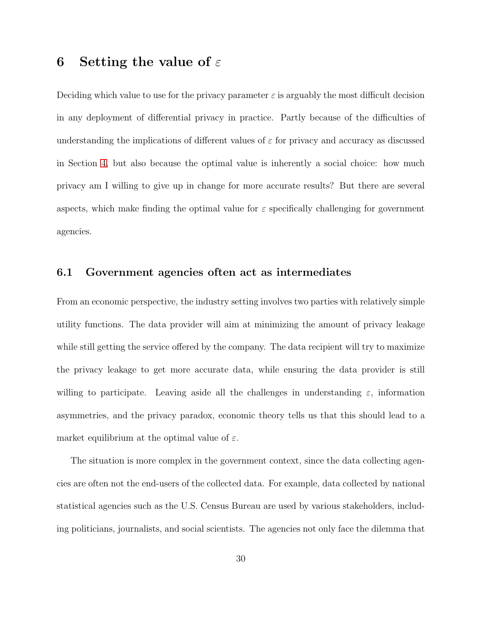# <span id="page-29-0"></span>6 Setting the value of  $\varepsilon$

Deciding which value to use for the privacy parameter  $\varepsilon$  is arguably the most difficult decision in any deployment of differential privacy in practice. Partly because of the difficulties of understanding the implications of different values of  $\varepsilon$  for privacy and accuracy as discussed in Section [4,](#page-17-0) but also because the optimal value is inherently a social choice: how much privacy am I willing to give up in change for more accurate results? But there are several aspects, which make finding the optimal value for  $\varepsilon$  specifically challenging for government agencies.

#### 6.1 Government agencies often act as intermediates

From an economic perspective, the industry setting involves two parties with relatively simple utility functions. The data provider will aim at minimizing the amount of privacy leakage while still getting the service offered by the company. The data recipient will try to maximize the privacy leakage to get more accurate data, while ensuring the data provider is still willing to participate. Leaving aside all the challenges in understanding  $\varepsilon$ , information asymmetries, and the privacy paradox, economic theory tells us that this should lead to a market equilibrium at the optimal value of  $\varepsilon$ .

The situation is more complex in the government context, since the data collecting agencies are often not the end-users of the collected data. For example, data collected by national statistical agencies such as the U.S. Census Bureau are used by various stakeholders, including politicians, journalists, and social scientists. The agencies not only face the dilemma that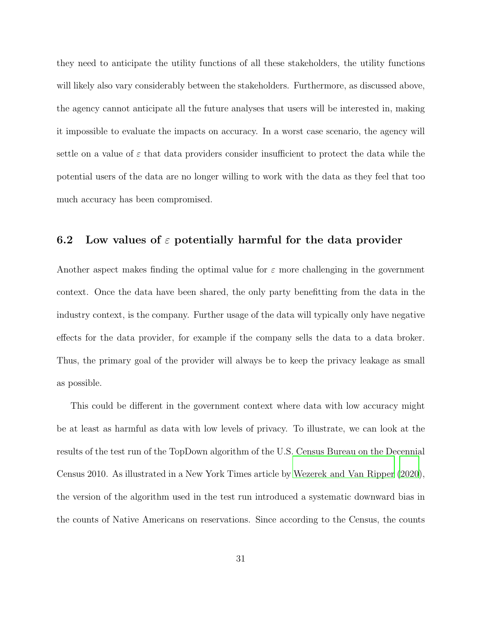they need to anticipate the utility functions of all these stakeholders, the utility functions will likely also vary considerably between the stakeholders. Furthermore, as discussed above, the agency cannot anticipate all the future analyses that users will be interested in, making it impossible to evaluate the impacts on accuracy. In a worst case scenario, the agency will settle on a value of  $\varepsilon$  that data providers consider insufficient to protect the data while the potential users of the data are no longer willing to work with the data as they feel that too much accuracy has been compromised.

#### 6.2 Low values of  $\varepsilon$  potentially harmful for the data provider

Another aspect makes finding the optimal value for  $\varepsilon$  more challenging in the government context. Once the data have been shared, the only party benefitting from the data in the industry context, is the company. Further usage of the data will typically only have negative effects for the data provider, for example if the company sells the data to a data broker. Thus, the primary goal of the provider will always be to keep the privacy leakage as small as possible.

This could be different in the government context where data with low accuracy might be at least as harmful as data with low levels of privacy. To illustrate, we can look at the results of the test run of the TopDown algorithm of the U.S. Census Bureau on the Decennial Census 2010. As illustrated in a New York Times article by [Wezerek and](#page-40-0) Van Ripper [\(2020](#page-40-0)), the version of the algorithm used in the test run introduced a systematic downward bias in the counts of Native Americans on reservations. Since according to the Census, the counts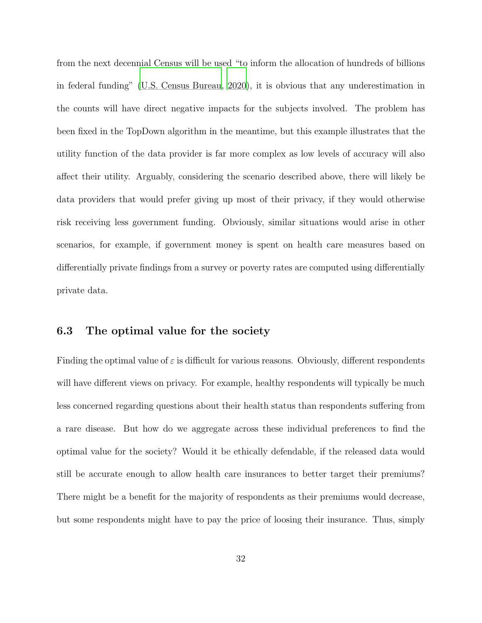from the next decennial Census will be used "to inform the allocation of hundreds of billions in federal funding" [\(U.S. Census Bureau](#page-39-9), [2020\)](#page-39-9), it is obvious that any underestimation in the counts will have direct negative impacts for the subjects involved. The problem has been fixed in the TopDown algorithm in the meantime, but this example illustrates that the utility function of the data provider is far more complex as low levels of accuracy will also affect their utility. Arguably, considering the scenario described above, there will likely be data providers that would prefer giving up most of their privacy, if they would otherwise risk receiving less government funding. Obviously, similar situations would arise in other scenarios, for example, if government money is spent on health care measures based on differentially private findings from a survey or poverty rates are computed using differentially private data.

#### 6.3 The optimal value for the society

Finding the optimal value of  $\varepsilon$  is difficult for various reasons. Obviously, different respondents will have different views on privacy. For example, healthy respondents will typically be much less concerned regarding questions about their health status than respondents suffering from a rare disease. But how do we aggregate across these individual preferences to find the optimal value for the society? Would it be ethically defendable, if the released data would still be accurate enough to allow health care insurances to better target their premiums? There might be a benefit for the majority of respondents as their premiums would decrease, but some respondents might have to pay the price of loosing their insurance. Thus, simply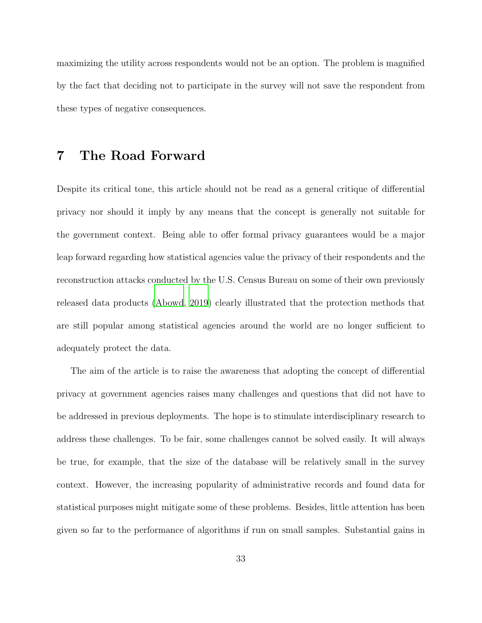maximizing the utility across respondents would not be an option. The problem is magnified by the fact that deciding not to participate in the survey will not save the respondent from these types of negative consequences.

# 7 The Road Forward

Despite its critical tone, this article should not be read as a general critique of differential privacy nor should it imply by any means that the concept is generally not suitable for the government context. Being able to offer formal privacy guarantees would be a major leap forward regarding how statistical agencies value the privacy of their respondents and the reconstruction attacks conducted by the U.S. Census Bureau on some of their own previously released data products [\(Abowd, 2019\)](#page-35-5) clearly illustrated that the protection methods that are still popular among statistical agencies around the world are no longer sufficient to adequately protect the data.

The aim of the article is to raise the awareness that adopting the concept of differential privacy at government agencies raises many challenges and questions that did not have to be addressed in previous deployments. The hope is to stimulate interdisciplinary research to address these challenges. To be fair, some challenges cannot be solved easily. It will always be true, for example, that the size of the database will be relatively small in the survey context. However, the increasing popularity of administrative records and found data for statistical purposes might mitigate some of these problems. Besides, little attention has been given so far to the performance of algorithms if run on small samples. Substantial gains in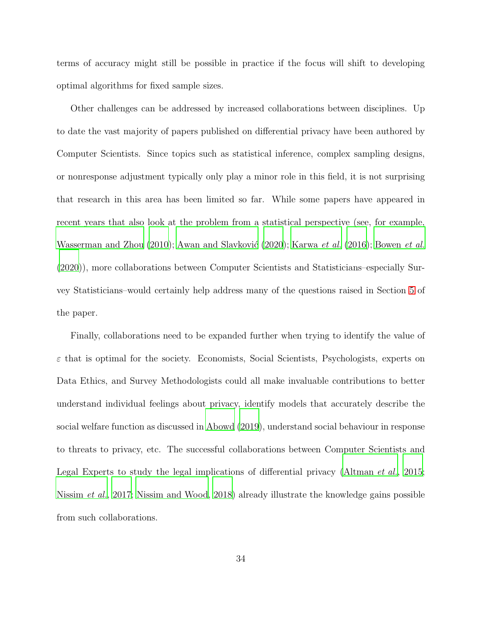terms of accuracy might still be possible in practice if the focus will shift to developing optimal algorithms for fixed sample sizes.

Other challenges can be addressed by increased collaborations between disciplines. Up to date the vast majority of papers published on differential privacy have been authored by Computer Scientists. Since topics such as statistical inference, complex sampling designs, or nonresponse adjustment typically only play a minor role in this field, it is not surprising that research in this area has been limited so far. While some papers have appeared in recent years that also look at the problem from a statistical perspective (see, for example, Wasserman and Zhou  $(2010)$ ; Awan and Slavković  $(2020)$ ; [Karwa](#page-37-7) et al.  $(2016)$  $(2016)$ ; [Bowen](#page-36-7) et al. [\(2020\)](#page-36-7)), more collaborations between Computer Scientists and Statisticians–especially Survey Statisticians–would certainly help address many of the questions raised in Section [5](#page-22-0) of the paper.

Finally, collaborations need to be expanded further when trying to identify the value of  $\varepsilon$  that is optimal for the society. Economists, Social Scientists, Psychologists, experts on Data Ethics, and Survey Methodologists could all make invaluable contributions to better understand individual feelings about privacy, identify models that accurately describe the social welfare function as discussed in [Abowd \(2019\)](#page-35-5), understand social behaviour in response to threats to privacy, etc. The successful collaborations between Computer Scientists and Legal Experts to study the legal implications of differential privacy [\(Altman](#page-35-7) et al., [2015;](#page-35-7) [Nissim](#page-38-5) et al., [2017;](#page-38-5) [Nissim and Wood](#page-38-6), [2018\)](#page-38-6) already illustrate the knowledge gains possible from such collaborations.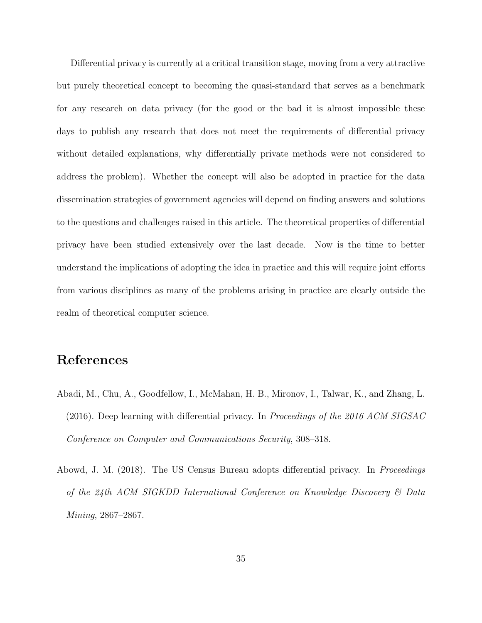Differential privacy is currently at a critical transition stage, moving from a very attractive but purely theoretical concept to becoming the quasi-standard that serves as a benchmark for any research on data privacy (for the good or the bad it is almost impossible these days to publish any research that does not meet the requirements of differential privacy without detailed explanations, why differentially private methods were not considered to address the problem). Whether the concept will also be adopted in practice for the data dissemination strategies of government agencies will depend on finding answers and solutions to the questions and challenges raised in this article. The theoretical properties of differential privacy have been studied extensively over the last decade. Now is the time to better understand the implications of adopting the idea in practice and this will require joint efforts from various disciplines as many of the problems arising in practice are clearly outside the realm of theoretical computer science.

# References

- <span id="page-34-1"></span>Abadi, M., Chu, A., Goodfellow, I., McMahan, H. B., Mironov, I., Talwar, K., and Zhang, L. (2016). Deep learning with differential privacy. In Proceedings of the 2016 ACM SIGSAC Conference on Computer and Communications Security, 308–318.
- <span id="page-34-0"></span>Abowd, J. M. (2018). The US Census Bureau adopts differential privacy. In *Proceedings* of the 24th ACM SIGKDD International Conference on Knowledge Discovery & Data Mining, 2867–2867.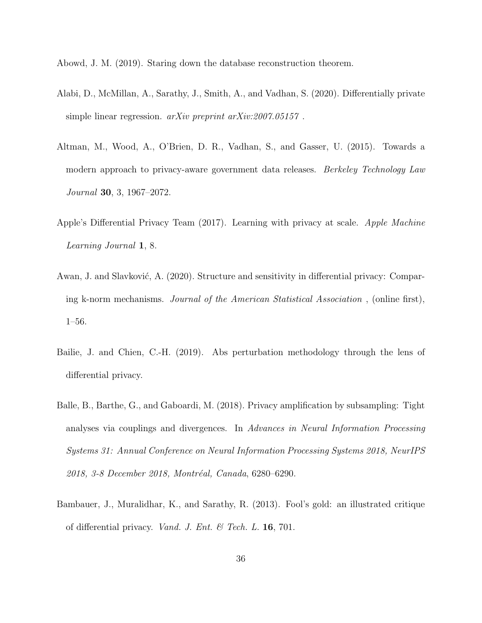<span id="page-35-5"></span>Abowd, J. M. (2019). Staring down the database reconstruction theorem.

- <span id="page-35-0"></span>Alabi, D., McMillan, A., Sarathy, J., Smith, A., and Vadhan, S. (2020). Differentially private simple linear regression. *arXiv preprint arXiv:2007.05157*.
- <span id="page-35-7"></span>Altman, M., Wood, A., O'Brien, D. R., Vadhan, S., and Gasser, U. (2015). Towards a modern approach to privacy-aware government data releases. *Berkeley Technology Law* Journal 30, 3, 1967–2072.
- <span id="page-35-1"></span>Apple's Differential Privacy Team (2017). Learning with privacy at scale. Apple Machine Learning Journal 1, 8.
- <span id="page-35-6"></span>Awan, J. and Slavković, A. (2020). Structure and sensitivity in differential privacy: Comparing k-norm mechanisms. Journal of the American Statistical Association , (online first), 1–56.
- <span id="page-35-2"></span>Bailie, J. and Chien, C.-H. (2019). Abs perturbation methodology through the lens of differential privacy.
- <span id="page-35-4"></span>Balle, B., Barthe, G., and Gaboardi, M. (2018). Privacy amplification by subsampling: Tight analyses via couplings and divergences. In Advances in Neural Information Processing Systems 31: Annual Conference on Neural Information Processing Systems 2018, NeurIPS 2018, 3-8 December 2018, Montréal, Canada, 6280–6290.
- <span id="page-35-3"></span>Bambauer, J., Muralidhar, K., and Sarathy, R. (2013). Fool's gold: an illustrated critique of differential privacy. *Vand. J. Ent.* & Tech. L.  $16$ , 701.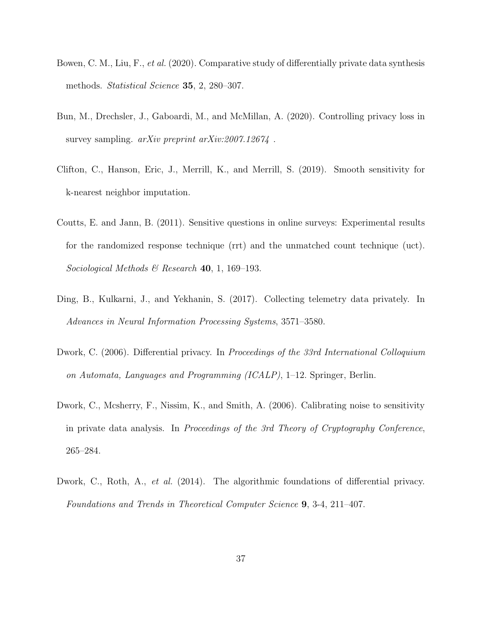- <span id="page-36-7"></span>Bowen, C. M., Liu, F., et al. (2020). Comparative study of differentially private data synthesis methods. Statistical Science 35, 2, 280-307.
- <span id="page-36-5"></span>Bun, M., Drechsler, J., Gaboardi, M., and McMillan, A. (2020). Controlling privacy loss in survey sampling. *arXiv preprint arXiv:2007.12674*.
- <span id="page-36-6"></span>Clifton, C., Hanson, Eric, J., Merrill, K., and Merrill, S. (2019). Smooth sensitivity for k-nearest neighbor imputation.
- <span id="page-36-4"></span>Coutts, E. and Jann, B. (2011). Sensitive questions in online surveys: Experimental results for the randomized response technique (rrt) and the unmatched count technique (uct). Sociological Methods & Research 40, 1, 169-193.
- <span id="page-36-1"></span>Ding, B., Kulkarni, J., and Yekhanin, S. (2017). Collecting telemetry data privately. In Advances in Neural Information Processing Systems, 3571–3580.
- <span id="page-36-3"></span>Dwork, C. (2006). Differential privacy. In Proceedings of the 33rd International Colloquium on Automata, Languages and Programming (ICALP), 1–12. Springer, Berlin.
- <span id="page-36-0"></span>Dwork, C., Mcsherry, F., Nissim, K., and Smith, A. (2006). Calibrating noise to sensitivity in private data analysis. In Proceedings of the 3rd Theory of Cryptography Conference, 265–284.
- <span id="page-36-2"></span>Dwork, C., Roth, A., *et al.* (2014). The algorithmic foundations of differential privacy. Foundations and Trends in Theoretical Computer Science 9, 3-4, 211–407.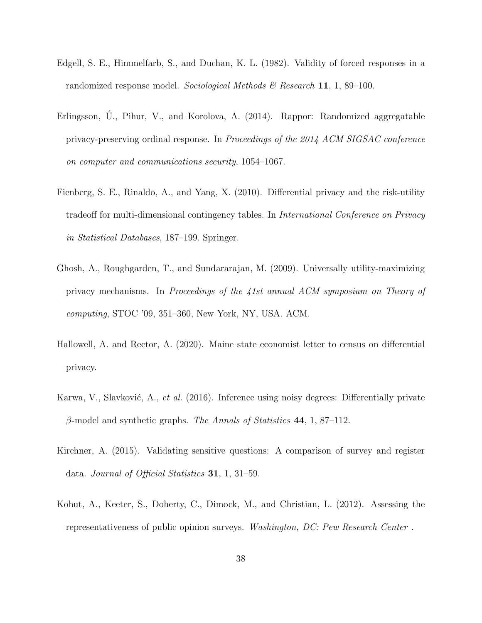- <span id="page-37-5"></span>Edgell, S. E., Himmelfarb, S., and Duchan, K. L. (1982). Validity of forced responses in a randomized response model. Sociological Methods & Research 11, 1, 89–100.
- <span id="page-37-0"></span>Erlingsson,  $\acute{U}$ ., Pihur, V., and Korolova, A. (2014). Rappor: Randomized aggregatable privacy-preserving ordinal response. In Proceedings of the 2014 ACM SIGSAC conference on computer and communications security, 1054–1067.
- <span id="page-37-2"></span>Fienberg, S. E., Rinaldo, A., and Yang, X. (2010). Differential privacy and the risk-utility tradeoff for multi-dimensional contingency tables. In International Conference on Privacy in Statistical Databases, 187–199. Springer.
- <span id="page-37-3"></span>Ghosh, A., Roughgarden, T., and Sundararajan, M. (2009). Universally utility-maximizing privacy mechanisms. In Proceedings of the 41st annual ACM symposium on Theory of computing, STOC '09, 351–360, New York, NY, USA. ACM.
- <span id="page-37-1"></span>Hallowell, A. and Rector, A. (2020). Maine state economist letter to census on differential privacy.
- <span id="page-37-7"></span>Karwa, V., Slavković, A., et al. (2016). Inference using noisy degrees: Differentially private β-model and synthetic graphs. The Annals of Statistics 44, 1, 87–112.
- <span id="page-37-6"></span>Kirchner, A. (2015). Validating sensitive questions: A comparison of survey and register data. Journal of Official Statistics 31, 1, 31–59.
- <span id="page-37-4"></span>Kohut, A., Keeter, S., Doherty, C., Dimock, M., and Christian, L. (2012). Assessing the representativeness of public opinion surveys. Washington, DC: Pew Research Center .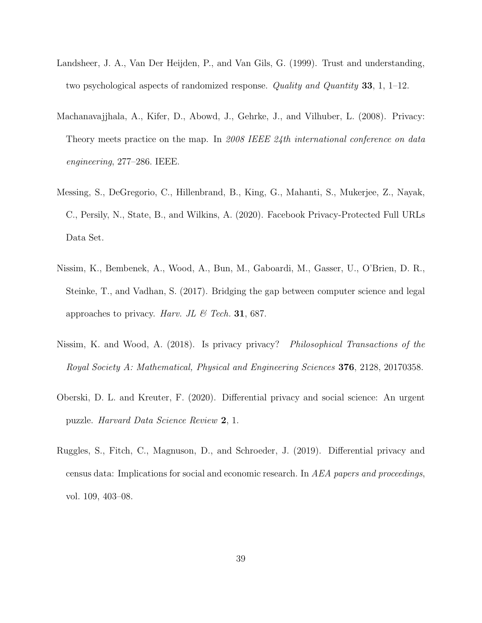- <span id="page-38-3"></span>Landsheer, J. A., Van Der Heijden, P., and Van Gils, G. (1999). Trust and understanding, two psychological aspects of randomized response. Quality and Quantity 33, 1, 1–12.
- <span id="page-38-1"></span>Machanavajjhala, A., Kifer, D., Abowd, J., Gehrke, J., and Vilhuber, L. (2008). Privacy: Theory meets practice on the map. In 2008 IEEE 24th international conference on data engineering, 277–286. IEEE.
- <span id="page-38-0"></span>Messing, S., DeGregorio, C., Hillenbrand, B., King, G., Mahanti, S., Mukerjee, Z., Nayak, C., Persily, N., State, B., and Wilkins, A. (2020). Facebook Privacy-Protected Full URLs Data Set.
- <span id="page-38-5"></span>Nissim, K., Bembenek, A., Wood, A., Bun, M., Gaboardi, M., Gasser, U., O'Brien, D. R., Steinke, T., and Vadhan, S. (2017). Bridging the gap between computer science and legal approaches to privacy. Harv. JL & Tech. 31, 687.
- <span id="page-38-6"></span>Nissim, K. and Wood, A. (2018). Is privacy privacy? Philosophical Transactions of the Royal Society A: Mathematical, Physical and Engineering Sciences 376, 2128, 20170358.
- <span id="page-38-4"></span>Oberski, D. L. and Kreuter, F. (2020). Differential privacy and social science: An urgent puzzle. Harvard Data Science Review 2, 1.
- <span id="page-38-2"></span>Ruggles, S., Fitch, C., Magnuson, D., and Schroeder, J. (2019). Differential privacy and census data: Implications for social and economic research. In AEA papers and proceedings, vol. 109, 403–08.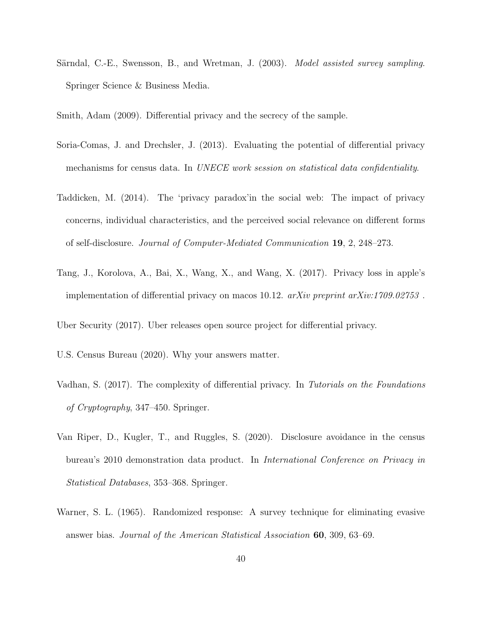- <span id="page-39-7"></span>Särndal, C.-E., Swensson, B., and Wretman, J. (2003). *Model assisted survey sampling.* Springer Science & Business Media.
- <span id="page-39-8"></span>Smith, Adam (2009). Differential privacy and the secrecy of the sample.
- <span id="page-39-1"></span>Soria-Comas, J. and Drechsler, J. (2013). Evaluating the potential of differential privacy mechanisms for census data. In UNECE work session on statistical data confidentiality.
- <span id="page-39-5"></span>Taddicken, M. (2014). The 'privacy paradox'in the social web: The impact of privacy concerns, individual characteristics, and the perceived social relevance on different forms of self-disclosure. Journal of Computer-Mediated Communication 19, 2, 248–273.
- <span id="page-39-4"></span>Tang, J., Korolova, A., Bai, X., Wang, X., and Wang, X. (2017). Privacy loss in apple's implementation of differential privacy on macos 10.12.  $arXiv$  preprint  $arXiv:1709.02753$ .

<span id="page-39-0"></span>Uber Security (2017). Uber releases open source project for differential privacy.

- <span id="page-39-9"></span>U.S. Census Bureau (2020). Why your answers matter.
- <span id="page-39-3"></span>Vadhan, S. (2017). The complexity of differential privacy. In Tutorials on the Foundations of Cryptography, 347–450. Springer.
- <span id="page-39-2"></span>Van Riper, D., Kugler, T., and Ruggles, S. (2020). Disclosure avoidance in the census bureau's 2010 demonstration data product. In International Conference on Privacy in Statistical Databases, 353–368. Springer.
- <span id="page-39-6"></span>Warner, S. L. (1965). Randomized response: A survey technique for eliminating evasive answer bias. Journal of the American Statistical Association 60, 309, 63–69.